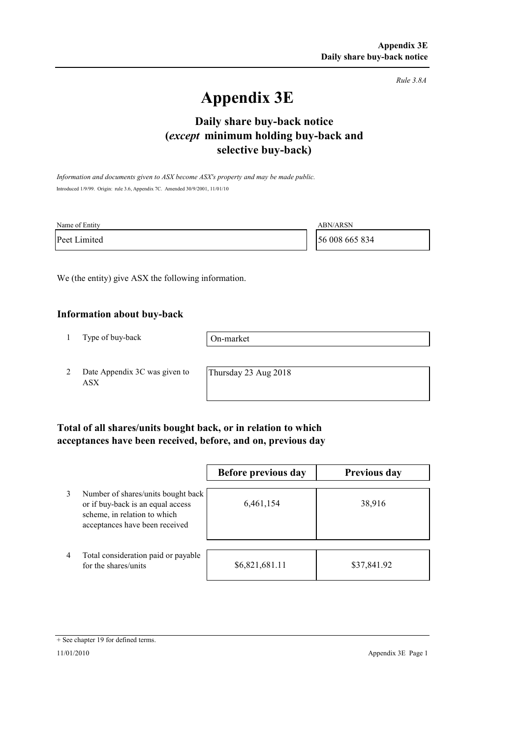*Rule 3.8A*

# **Appendix 3E**

## **selective buy-back) Daily share buy-back notice (***except* **minimum holding buy-back and**

*Information and documents given to ASX become ASX's property and may be made public.* Introduced 1/9/99. Origin: rule 3.6, Appendix 7C. Amended 30/9/2001, 11/01/10

| Name of Entity | <b>ABN/ARSN</b> |
|----------------|-----------------|
| Peet Limited   | 56 008 665 834  |

We (the entity) give ASX the following information.

#### **Information about buy-back**

1 Type of buy-back

On-market

2 Date Appendix 3C was given to ASX

Thursday 23 Aug 2018

### **Total of all shares/units bought back, or in relation to which acceptances have been received, before, and on, previous day**

|                |                                                                                                                                           | Before previous day | <b>Previous day</b> |
|----------------|-------------------------------------------------------------------------------------------------------------------------------------------|---------------------|---------------------|
| 3              | Number of shares/units bought back<br>or if buy-back is an equal access<br>scheme, in relation to which<br>acceptances have been received | 6,461,154           | 38,916              |
| $\overline{4}$ | Total consideration paid or payable<br>for the shares/units                                                                               | \$6,821,681.11      | \$37,841.92         |

<sup>+</sup> See chapter 19 for defined terms.